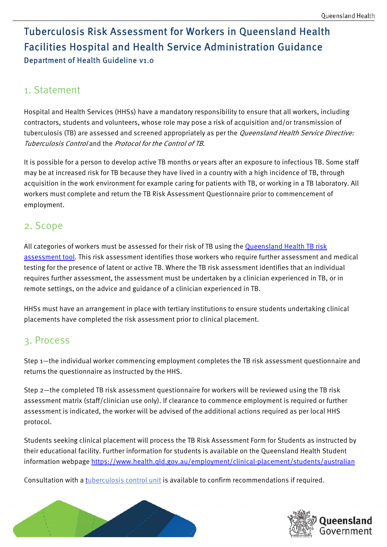# Tuberculosis Risk Assessment for Workers in Queensland Health Facilities Hospital and Health Service Administration Guidance Department of Health Guideline v1.0

## 1. Statement

Hospital and Health Services (HHSs) have a mandatory responsibility to ensure that all workers, including contractors, students and volunteers, whose role may pose a risk of acquisition and/or transmission of tuberculosis (TB) are assessed and screened appropriately as per the *Queensland Health Service Directive:* Tuberculosis Control and the Protocol for the Control of TB.

It is possible for a person to develop active TB months or years after an exposure to infectious TB. Some staff may be at increased risk for TB because they have lived in a country with a high incidence of TB, through acquisition in the work environment for example caring for patients with TB, or working in a TB laboratory. All workers must complete and return the TB Risk Assessment Questionnaire prior to commencement of employment.

#### 2. Scope

All categories of workers must be assessed for their risk of TB using the [Queensland Health TB risk](https://www.health.qld.gov.au/clinical-practice/guidelines-procedures/diseases-infection/diseases/tuberculosis/screening)  assessment tool. This risk assessment identifies those workers who require further assessment and medical testing for the presence of latent or active TB. Where the TB risk assessment identifies that an individual requires further assessment, the assessment must be undertaken by a clinician experienced in TB, or in remote settings, on the advice and guidance of a clinician experienced in TB.

HHSs must have an arrangement in place with tertiary institutions to ensure students undertaking clinical placements have completed the risk assessment prior to clinical placement.

### 3. Process

Step 1—the individual worker commencing employment completes the TB risk assessment questionnaire and returns the questionnaire as instructed by the HHS.

Step 2—the completed TB risk assessment questionnaire for workers will be reviewed using the TB risk assessment matrix (staff/clinician use only). If clearance to commence employment is required or further assessment is indicated, the worker will be advised of the additional actions required as per local HHS protocol.

Students seeking clinical placement will process the TB Risk Assessment Form for Students as instructed by their educational facility. Further information for students is available on the Queensland Health Student information webpage https://www.health.qld.gov.au/employment/clinical-placement/students/australian

Consultation with a [tuberculosis control unit](https://www.health.qld.gov.au/clinical-practice/guidelines-procedures/diseases-infection/diseases/tuberculosis/contact-a-service) is available to confirm recommendations if required.